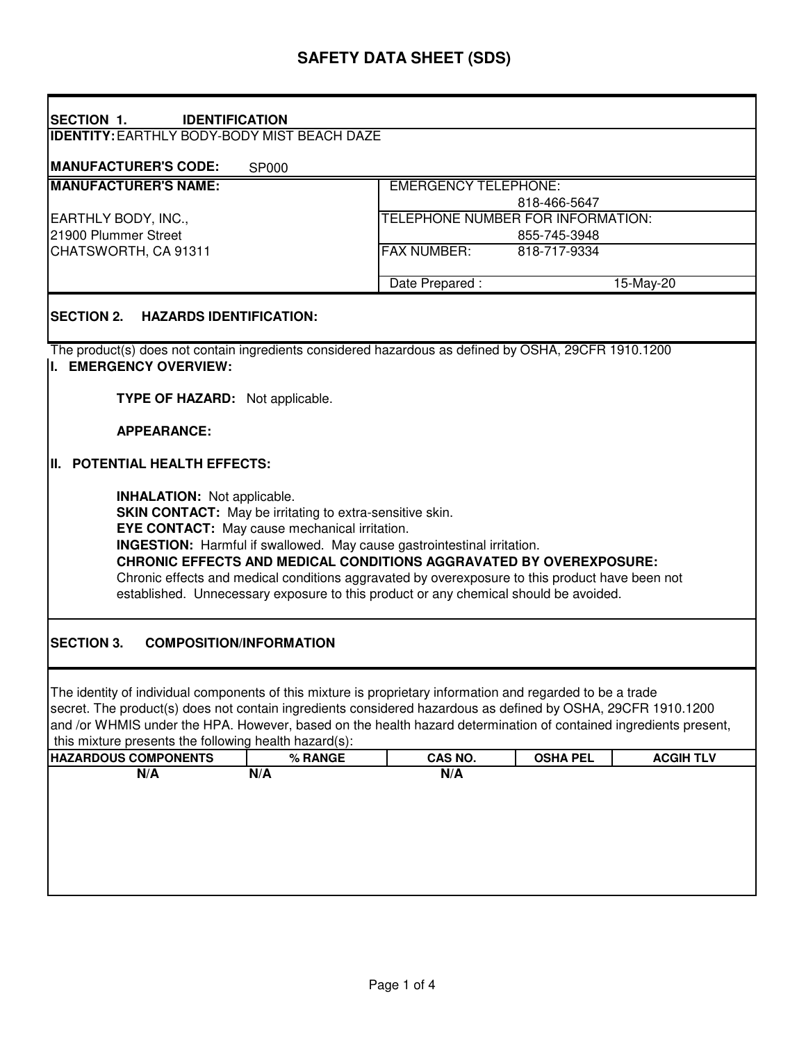| <b>SECTION 1.</b><br><b>IDENTIFICATION</b>                                                                                                                                                                                                                                                                                                                                                                                                                                                                              |                                |                                    |                 |                  |  |  |
|-------------------------------------------------------------------------------------------------------------------------------------------------------------------------------------------------------------------------------------------------------------------------------------------------------------------------------------------------------------------------------------------------------------------------------------------------------------------------------------------------------------------------|--------------------------------|------------------------------------|-----------------|------------------|--|--|
| <b>IDENTITY: EARTHLY BODY-BODY MIST BEACH DAZE</b>                                                                                                                                                                                                                                                                                                                                                                                                                                                                      |                                |                                    |                 |                  |  |  |
|                                                                                                                                                                                                                                                                                                                                                                                                                                                                                                                         |                                |                                    |                 |                  |  |  |
| <b>MANUFACTURER'S CODE:</b>                                                                                                                                                                                                                                                                                                                                                                                                                                                                                             | <b>SP000</b>                   |                                    |                 |                  |  |  |
| <b>MANUFACTURER'S NAME:</b>                                                                                                                                                                                                                                                                                                                                                                                                                                                                                             |                                | <b>EMERGENCY TELEPHONE:</b>        |                 |                  |  |  |
|                                                                                                                                                                                                                                                                                                                                                                                                                                                                                                                         |                                | 818-466-5647                       |                 |                  |  |  |
| EARTHLY BODY, INC.,                                                                                                                                                                                                                                                                                                                                                                                                                                                                                                     |                                | TELEPHONE NUMBER FOR INFORMATION:  |                 |                  |  |  |
| 21900 Plummer Street                                                                                                                                                                                                                                                                                                                                                                                                                                                                                                    |                                | 855-745-3948                       |                 |                  |  |  |
| CHATSWORTH, CA 91311                                                                                                                                                                                                                                                                                                                                                                                                                                                                                                    |                                | <b>FAX NUMBER:</b><br>818-717-9334 |                 |                  |  |  |
|                                                                                                                                                                                                                                                                                                                                                                                                                                                                                                                         |                                |                                    |                 |                  |  |  |
|                                                                                                                                                                                                                                                                                                                                                                                                                                                                                                                         |                                | Date Prepared :                    |                 | 15-May-20        |  |  |
| <b>SECTION 2.</b><br><b>HAZARDS IDENTIFICATION:</b>                                                                                                                                                                                                                                                                                                                                                                                                                                                                     |                                |                                    |                 |                  |  |  |
| The product(s) does not contain ingredients considered hazardous as defined by OSHA, 29CFR 1910.1200<br>I. EMERGENCY OVERVIEW:                                                                                                                                                                                                                                                                                                                                                                                          |                                |                                    |                 |                  |  |  |
|                                                                                                                                                                                                                                                                                                                                                                                                                                                                                                                         |                                |                                    |                 |                  |  |  |
| TYPE OF HAZARD: Not applicable.                                                                                                                                                                                                                                                                                                                                                                                                                                                                                         |                                |                                    |                 |                  |  |  |
|                                                                                                                                                                                                                                                                                                                                                                                                                                                                                                                         |                                |                                    |                 |                  |  |  |
| <b>APPEARANCE:</b>                                                                                                                                                                                                                                                                                                                                                                                                                                                                                                      |                                |                                    |                 |                  |  |  |
| II. POTENTIAL HEALTH EFFECTS:                                                                                                                                                                                                                                                                                                                                                                                                                                                                                           |                                |                                    |                 |                  |  |  |
| <b>INHALATION:</b> Not applicable.<br><b>SKIN CONTACT:</b> May be irritating to extra-sensitive skin.<br><b>EYE CONTACT:</b> May cause mechanical irritation.<br><b>INGESTION:</b> Harmful if swallowed. May cause gastrointestinal irritation.<br><b>CHRONIC EFFECTS AND MEDICAL CONDITIONS AGGRAVATED BY OVEREXPOSURE:</b><br>Chronic effects and medical conditions aggravated by overexposure to this product have been not<br>established. Unnecessary exposure to this product or any chemical should be avoided. |                                |                                    |                 |                  |  |  |
| <b>SECTION 3.</b>                                                                                                                                                                                                                                                                                                                                                                                                                                                                                                       | <b>COMPOSITION/INFORMATION</b> |                                    |                 |                  |  |  |
| The identity of individual components of this mixture is proprietary information and regarded to be a trade<br>secret. The product(s) does not contain ingredients considered hazardous as defined by OSHA, 29CFR 1910.1200<br>and /or WHMIS under the HPA. However, based on the health hazard determination of contained ingredients present,<br>this mixture presents the following health hazard(s):                                                                                                                |                                |                                    |                 |                  |  |  |
| <b>HAZARDOUS COMPONENTS</b>                                                                                                                                                                                                                                                                                                                                                                                                                                                                                             | % RANGE                        | CAS NO.                            | <b>OSHA PEL</b> | <b>ACGIH TLV</b> |  |  |
| N/A                                                                                                                                                                                                                                                                                                                                                                                                                                                                                                                     | N/A                            | N/A                                |                 |                  |  |  |
|                                                                                                                                                                                                                                                                                                                                                                                                                                                                                                                         |                                |                                    |                 |                  |  |  |
|                                                                                                                                                                                                                                                                                                                                                                                                                                                                                                                         |                                |                                    |                 |                  |  |  |
|                                                                                                                                                                                                                                                                                                                                                                                                                                                                                                                         |                                |                                    |                 |                  |  |  |
|                                                                                                                                                                                                                                                                                                                                                                                                                                                                                                                         |                                |                                    |                 |                  |  |  |
|                                                                                                                                                                                                                                                                                                                                                                                                                                                                                                                         |                                |                                    |                 |                  |  |  |
|                                                                                                                                                                                                                                                                                                                                                                                                                                                                                                                         |                                |                                    |                 |                  |  |  |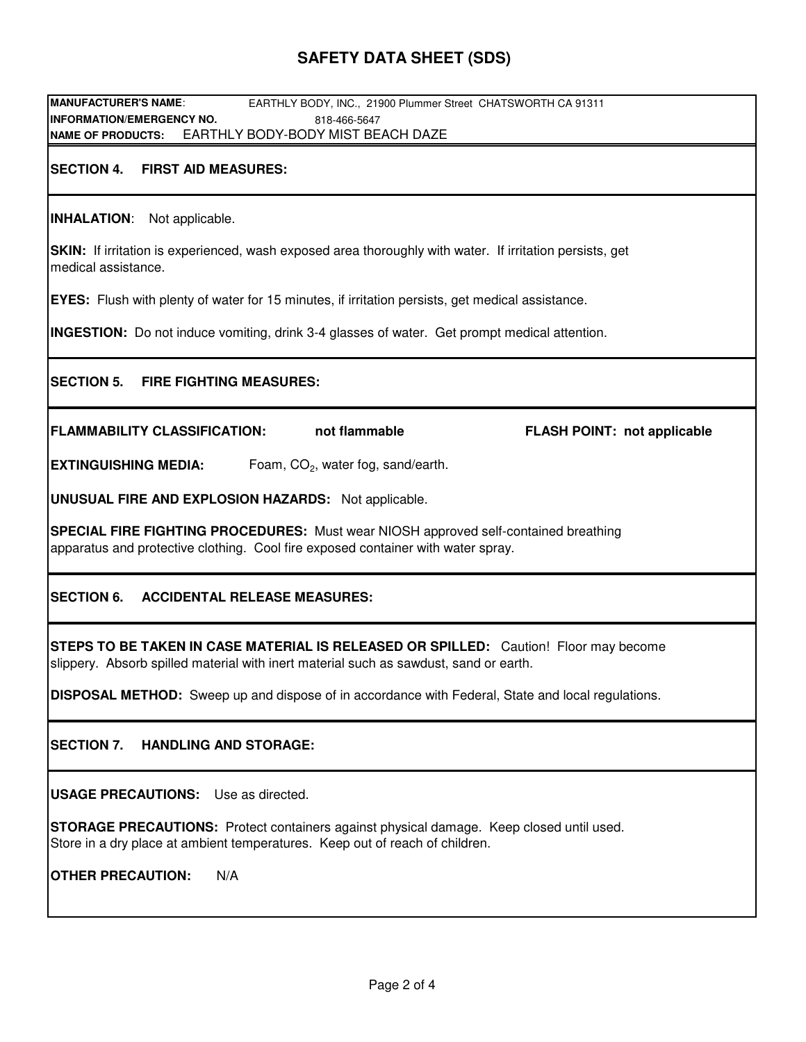## **SAFETY DATA SHEET (SDS)**

**MANUFACTURER'S NAME**: EARTHLY BODY, INC., 21900 Plummer Street CHATSWORTH CA 91311 **INFORMATION/EMERGENCY NO.** 818-466-5647 **NAME OF PRODUCTS: SECTION 4. FIRST AID MEASURES:** EARTHLY BODY-BODY MIST BEACH DAZE

**INHALATION**: Not applicable.

**SKIN:** If irritation is experienced, wash exposed area thoroughly with water. If irritation persists, get medical assistance.

**EYES:** Flush with plenty of water for 15 minutes, if irritation persists, get medical assistance.

**INGESTION:** Do not induce vomiting, drink 3-4 glasses of water. Get prompt medical attention.

**SECTION 5. FIRE FIGHTING MEASURES:**

**FLAMMABILITY CLASSIFICATION: not flammable FLASH POINT: not applicable**

**EXTINGUISHING MEDIA:** Foam,  $CO<sub>2</sub>$ , water fog, sand/earth.

**UNUSUAL FIRE AND EXPLOSION HAZARDS:** Not applicable.

**SPECIAL FIRE FIGHTING PROCEDURES:** Must wear NIOSH approved self-contained breathing apparatus and protective clothing. Cool fire exposed container with water spray.

#### **SECTION 6. ACCIDENTAL RELEASE MEASURES:**

**STEPS TO BE TAKEN IN CASE MATERIAL IS RELEASED OR SPILLED:** Caution! Floor may become slippery. Absorb spilled material with inert material such as sawdust, sand or earth.

**DISPOSAL METHOD:** Sweep up and dispose of in accordance with Federal, State and local regulations.

**SECTION 7. HANDLING AND STORAGE:**

**USAGE PRECAUTIONS:** Use as directed.

**STORAGE PRECAUTIONS:** Protect containers against physical damage. Keep closed until used. Store in a dry place at ambient temperatures. Keep out of reach of children.

**OTHER PRECAUTION:** N/A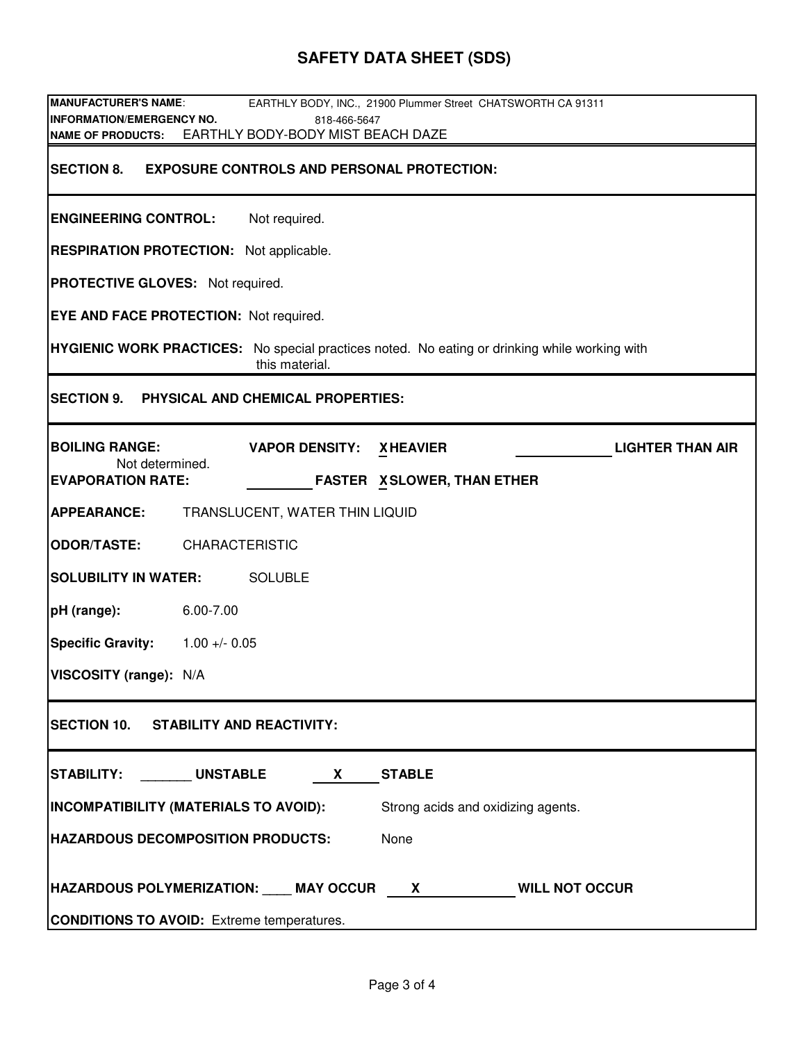# **SAFETY DATA SHEET (SDS)**

| <b>MANUFACTURER'S NAME:</b><br>EARTHLY BODY, INC., 21900 Plummer Street CHATSWORTH CA 91311<br><b>INFORMATION/EMERGENCY NO.</b><br>818-466-5647 |  |  |  |  |  |
|-------------------------------------------------------------------------------------------------------------------------------------------------|--|--|--|--|--|
| NAME OF PRODUCTS: EARTHLY BODY-BODY MIST BEACH DAZE                                                                                             |  |  |  |  |  |
| <b>SECTION 8.</b><br><b>EXPOSURE CONTROLS AND PERSONAL PROTECTION:</b>                                                                          |  |  |  |  |  |
| <b>ENGINEERING CONTROL:</b><br>Not required.                                                                                                    |  |  |  |  |  |
| <b>RESPIRATION PROTECTION:</b> Not applicable.                                                                                                  |  |  |  |  |  |
| <b>PROTECTIVE GLOVES:</b> Not required.                                                                                                         |  |  |  |  |  |
| <b>EYE AND FACE PROTECTION: Not required.</b>                                                                                                   |  |  |  |  |  |
| <b>HYGIENIC WORK PRACTICES:</b> No special practices noted. No eating or drinking while working with<br>this material.                          |  |  |  |  |  |
| SECTION 9. PHYSICAL AND CHEMICAL PROPERTIES:                                                                                                    |  |  |  |  |  |
| <b>BOILING RANGE:</b><br><b>VAPOR DENSITY:</b><br><b>XHEAVIER</b><br><b>LIGHTER THAN AIR</b>                                                    |  |  |  |  |  |
| Not determined.<br><b>EVAPORATION RATE:</b><br><b>FASTER X SLOWER, THAN ETHER</b>                                                               |  |  |  |  |  |
| <b>APPEARANCE:</b><br>TRANSLUCENT, WATER THIN LIQUID                                                                                            |  |  |  |  |  |
| <b>ODOR/TASTE:</b><br><b>CHARACTERISTIC</b>                                                                                                     |  |  |  |  |  |
| <b>SOLUBILITY IN WATER:</b><br><b>SOLUBLE</b>                                                                                                   |  |  |  |  |  |
| 6.00-7.00<br>pH (range):                                                                                                                        |  |  |  |  |  |
| <b>Specific Gravity:</b><br>$1.00 + - 0.05$                                                                                                     |  |  |  |  |  |
| VISCOSITY (range): N/A                                                                                                                          |  |  |  |  |  |
| SECTION 10. STABILITY AND REACTIVITY:                                                                                                           |  |  |  |  |  |
| STABILITY: UNSTABLE<br><b>STABLE</b><br>X                                                                                                       |  |  |  |  |  |
| INCOMPATIBILITY (MATERIALS TO AVOID):<br>Strong acids and oxidizing agents.                                                                     |  |  |  |  |  |
| <b>HAZARDOUS DECOMPOSITION PRODUCTS:</b><br>None                                                                                                |  |  |  |  |  |
| HAZARDOUS POLYMERIZATION: ____ MAY OCCUR X<br><b>WILL NOT OCCUR</b>                                                                             |  |  |  |  |  |
| <b>CONDITIONS TO AVOID:</b> Extreme temperatures.                                                                                               |  |  |  |  |  |